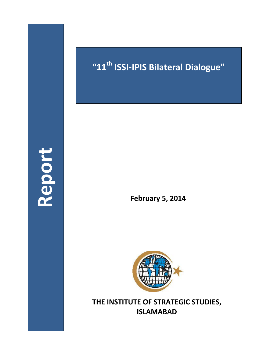**Report**

# **"11th ISSI-IPIS Bilateral Dialogue"**

**February 5, 2014**



**THE INSTITUTE OF STRATEGIC STUDIES, ISLAMABAD**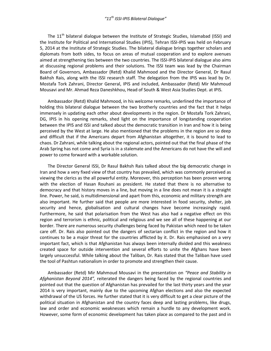The  $11<sup>th</sup>$  bilateral dialogue between the Institute of Strategic Studies, Islamabad (ISSI) and the Institute for Political and International Studies (IPIS), Tehran ISSI-IPIS was held on February 5, 2014 at the Institute of Strategic Studies. The bilateral dialogue brings together scholars and diplomats from both sides, to focus on areas of mutual cooperation and to explore avenues aimed at strengthening ties between the two countries. The ISSI-IPIS bilateral dialogue also aims at discussing regional problems and their solutions. The ISSI team was lead by the Chairman Board of Governors, Ambassador (Retd) Khalid Mahmood and the Director General, Dr Rasul Bakhsh Rais, along with the ISSI research staff. The delegation from the IPIS was lead by Dr. Mostafa Tork Zahrani, Director General, IPIS and included, Ambassador (Retd) Mir Mahmoud Mousavi and Mr. Ahmad Reza Daneshkhou, Head of South & West Asia Studies Dept. at IPIS.

Ambassador (Retd) Khalid Mahmood, in his welcome remarks, underlined the importance of holding this bilateral dialogue between the two brotherly countries and the fact that it helps immensely in updating each other about developments in the region. Dr Mostafa Tork Zahrani, DG, IPIS in his opening remarks, shed light on the importance of longstanding cooperation between the IPIS and ISSI and talked about the democratic transition in Iran and how it is being perceived by the West at large. He also mentioned that the problems in the region are so deep and difficult that if the Americans depart from Afghanistan altogether, it is bound to lead to chaos. Dr Zahrani, while talking about the regional actors, pointed out that the final phase of the Arab Spring has not come and Syria is in a stalemate and the Americans do not have the will and power to come forward with a workable solution.

The Director General ISSI, Dr Rasul Bakhsh Rais talked about the big democratic change in Iran and how a very fixed view of that country has prevailed, which was commonly perceived as viewing the clerics as the all powerful entity. Moreover, this perception has been proven wrong with the election of Hasan Rouhani as president. He stated that there is no alternative to democracy and that history moves in a line, but moving in a line does not mean it is a straight line. Power, he said, is multidimensional and apart from this, economic and military strength are also important. He further said that people are more interested in food security, shelter, job security and hence, globalisation and cultural changes have become increasingly rapid. Furthermore, he said that polarisation from the West has also had a negative effect on this region and terrorism is ethnic, political and religious and we see all of these happening at our border. There are numerous security challenges being faced by Pakistan which need to be taken care off. Dr. Rais also pointed out the dangers of sectarian conflict in the region and how it continues to be a major threat for the countries afflicted by it. Dr. Rais emphasised on a very important fact, which is that Afghanistan has always been internally divided and this weakness created space for outside intervention and several efforts to unite the Afghans have been largely unsuccessful. While talking about the Taliban, Dr. Rais stated that the Taliban have used the tool of Pashtun nationalism in order to promote and strengthen their cause.

Ambassador (Retd) Mir Mahmoud Mousavi in the presentation on *"Peace and Stability in Afghanistan Beyond 2014",* reiterated the dangers being faced by the regional countries and pointed out that the question of Afghanistan has prevailed for the last thirty years and the year 2014 is very important, mainly due to the upcoming Afghan elections and also the expected withdrawal of the US forces. He further stated that it is very difficult to get a clear picture of the political situation in Afghanistan and the country faces deep and lasting problems, like drugs, law and order and economic weaknesses which remain a hurdle to any development work. However, some form of economic development has taken place as compared to the past and in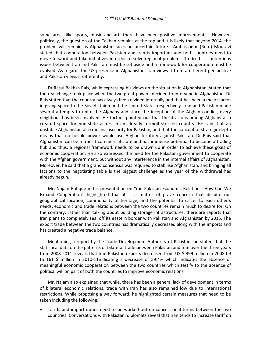some areas like sports, music and art, there have been positive improvements. However, politically, the question of the Taliban remains at the top and it is likely that beyond 2014, the problem will remain as Afghanistan faces an uncertain future. Ambassador (Retd) Mousavi stated that cooperation between Pakistan and Iran is important and both countries need to move forward and take initiatives in order to solve regional problems. To do this, contentious issues between Iran and Pakistan must be set aside and a framework for cooperation must be evolved. As regards the US presence in Afghanistan, Iran views it from a different perspective and Pakistan views it differently.

Dr Rasul Bakhsh Rais, while expressing his views on the situation in Afghanistan, stated that the real change took place when the two great powers decided to intervene in Afghanistan. Dr Rais stated that the country has always been divided internally and that has been a major factor in giving space to the Soviet Union and the United States respectively. Iran and Pakistan made several attempts to unite the Afghans and since the inception of the Afghan conflict, every neighbour has been involved. He further pointed out that the divisions among Afghans also created space for non-state actors in an already turmoil stricken country. He said that an unstable Afghanistan also means insecurity for Pakistan, and that the concept of strategic depth means that no hostile power would use Afghan territory against Pakistan. Dr Rais said that Afghanistan can be a transit commercial state and has immense potential to become a trading hub and thus, a regional framework needs to be drawn up in order to achieve these goals of economic cooperation. He also expressed the need for the Pakistani government to cooperate with the Afghan government, but without any interference in the internal affairs of Afghanistan. Moreover, he said that a grand consensus was required to stabilise Afghanistan, and bringing all factions to the negotiating table is the biggest challenge as the year of the withdrawal has already begun.

Mr. Najam Rafique in his presentation on "ran-Pakistan Economic Relations: How Can We Expand Cooperation" highlighted that it is a matter of grave concern that despite our geographical location, commonality of heritage, and the potential to carter to each other's needs, economic and trade relations between the two countries remain much to desire for. On the contrary, rather than talking about building storage infrastructures, there are reports that Iran plans to completely seal off its eastern border with Pakistan and Afghanistan by 2015. The export trade between the two countries has dramatically decreased along with the imports and has created a negative trade balance.

Mentioning a report by the Trade Development Authority of Pakistan, he stated that the statistical data on the patterns of bilateral trade between Pakistan and Iran over the three years from 2008-2011 reveals that Iran-Pakistan exports decreased from US \$ 399 million in 2008-09 to 161 \$ million in 2010-11indicating a decrease of 59.4% which indicates the absence of meaningful economic cooperation between the two countries which testify to the absence of political will on part of both the countries to improve economic relations.

Mr. Najam also explained that while, there has been a general lack of development in terms of bilateral economic relations, trade with Iran has also remained low due to international restrictions. While proposing a way forward, he highlighted certain measures that need to be taken including the following:

 Tariffs and import duties need to be worked out on concessional terms between the two countries. Conversations with Pakistani diplomats reveal that Iran tends to increase tariff on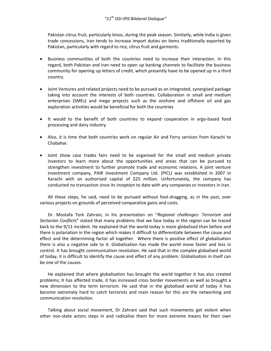Pakistan citrus fruit, particularly kinos, during the peak season. Similarly, while India is given trade concessions, Iran tends to increase import duties on items traditionally exported by Pakistan, particularly with regard to rice, citrus fruit and garments.

- Business communities of both the countries need to increase their interaction. In this regard, both Pakistan and Iran need to open up banking channels to facilitate the business community for opening up letters of credit, which presently have to be opened up in a third country.
- Joint Ventures and related projects need to be pursued as an integrated, synergised package taking into account the interests of both countries. Collaboration in small and medium enterprises (SMEs) and mega projects such as the onshore and offshore oil and gas exploration activities would be beneficial for both the countries
- It would to the benefit of both countries to expand cooperation in argo-based food processing and dairy industry.
- Also, it is time that both countries work on regular Air and Ferry services from Karachi to Chabahar.
- Joint show case trades fairs need to be organised for the small and medium private investors to learn more about the opportunities and areas that can be pursued to strengthen investment to further promote trade and economic relations. A joint venture investment company, PAIR Investment Company Ltd. (PICL) was established in 2007 in Karachi with an authorised capital of \$25 million. Unfortunately, the company has conducted no transaction since its inception to date with any companies or investors in Iran.

All these steps, he said, need to be pursued without foot-dragging, as in the past, over various projects on grounds of perceived comparative gains and costs.

Dr. Mostafa Tork Zahrani, in his presentation on "*Regional challenges: Terrorism and Sectarian Conflicts*" stated that many problems that we face today in the region can be traced back to the 9/11 incident. He explained that the world today is more globalised than before and there is polariation in the region which makes it difficult to differentiate between the cause and effect and the determining factor all together. Where there is positive effect of globalisation there is also a negative side to it. Globalisation has made the world move faster and less in control. It has brought communication revolution. He said that in the complex globalised world of today, it is difficult to identify the cause and effect of any problem. Globalisation in itself can be one of the causes.

He explained that where globalisation has brought the world together it has also created problems; it has affected trade, it has increased cross border movements as well as brought a new dimension to the term terrorism. He said that in the globalised world of today it has become extremely hard to catch terrorists and main reason for this are the networking and communication revolution.

Talking about social movement, Dr Zahrani said that such movements get violent when other non-state actors steps in and radicalise them for more extreme means for their own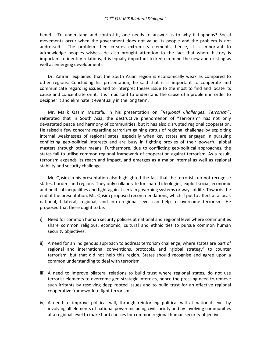benefit. To understand and control it, one needs to answer as to why it happens? Social movements occur when the government does not value its people and the problem is not addressed. The problem then creates extremists elements, hence, it is important to acknowledge peoples wishes. He also brought attention to the fact that where history is important to identify relations, it is equally important to keep in mind the new and existing as well as emerging developments.

Dr. Zahrani explained that the South Asian region is economically weak as compared to other regions. Concluding his presentation, he said that it is important to cooperate and communicate regarding issues and to interpret theses issue to the most to find and locate its cause and concentrate on it. It is important to understand the cause of a problem in order to decipher it and eliminate it eventually in the long term.

Mr. Malik Qasim Mustafa, in his presentation on "*Regional Challenges: Terrorism*", reiterated that in South Asia, the destructive phenomenon of "Terrorism" has not only devastated peace and harmony of communities, but it has also disrupted regional cooperation. He raised a few concerns regarding terrorism gaining status of regional challenge by exploiting internal weaknesses of regional sates, especially when key states are engaged in pursuing conflicting geo-political interests and are busy in fighting proxies of their powerful global masters through other means. Furthermore, due to conflicting geo-political approaches, the states fail to utilise common regional framework of cooperation against terrorism. As a result, terrorism expands its reach and impact, and emerges as a major internal as well as regional stability and security challenge.

Mr. Qasim in his presentation also highlighted the fact that the terrorists do not recognise states, borders and regions. They only collaborate for shared ideologies, exploit social, economic and political inequalities and fight against certain governing systems or ways of life. Towards the end of the presentation, Mr. Qasim proposed recommendations, which if put to affect at a local, national, bilateral, regional, and intra-regional level can help to overcome terrorism. He proposed that there ought to be:

- i) Need for common human security policies at national and regional level where communities share common religious, economic, cultural and ethnic ties to pursue common human security objectives.
- ii) A need for an indigenous approach to address terrorism challenge, where states are part of regional and international conventions, protocols, and "global strategy" to counter terrorism, but that did not help this region. States should recognise and agree upon a common understanding to deal with terrorism.
- iii) A need to improve bilateral relations to build trust where regional states, do not use terrorist elements to overcome geo-strategic interests, hence the pressing need to remove such irritants by resolving deep rooted issues and to build trust for an effective regional cooperative framework to fight terrorism.
- iv) A need to improve political will, through reinforcing political will at national level by involving all elements of national power including civil society and by involving communities at a regional level to make hard choices for common regional human security objectives.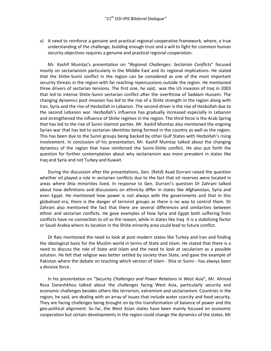v) A need to reinforce a genuine and practical regional cooperative framework, where, a true understanding of the challenge, building enough trust and a will to fight for common human security objectives requires a genuine and practical regional cooperation.

Mr. Kashif Mumtaz's presentation on "*Regional Challenges: Sectarian Conflicts*" focused mostly on sectarianism particularly in the Middle East and its regional implications. He stated that the Shiite-Sunni conflict in the region can be considered as one of the most important security threats in the region with far reaching repercussions outside the region. He mentioned three drivers of sectarian tensions. The first one, he said, was the US invasion of Iraq in 2003 that led to intense Shiite-Sunni sectarian conflict after the overthrow of Saddam Hussein. The changing dynamics post invasion has led to the rise of a Shiite strength in the region along with Iran, Syria and the rise of Hezbollah in Lebanon. The second driver is the rise of Hezbollah due to the second Lebanon war. Hezbollah's influence has gradually increased especially in Lebanon and strengthened the influence of Shiite regimes in the region. The third force is the Arab Spring that has led to the rise of Sunni Islamist parties. Mr. Kashif Mumtaz also mentioned the ongoing Syrian war that has led to sectarian identities being formed in the country as well as the region. This has been due to the Sunni groups being backed by other Gulf States with Hezbollah's rising involvement. In conclusion of his presentation, Mr. Kashif Mumtaz talked about the changing dynamics of the region that have reinforced the Sunni-Shiite conflict. He also put forth the question for further contemplation about why sectarianism was more prevalent in states like Iraq and Syria and not Turkey and Kuwait.

During the discussion after the presentations, Gen. (Retd) Asad Durrani raised the question whether oil played a role in sectarian conflicts due to the fact that oil reserves were located in areas where Shia minorities lived. In response to Gen. Durrani's question Dr Zahrani talked about how definitions and discussions on ethnicity differ in states like Afghanistan, Syria and even Egypt. He mentioned how power is not always with the governments and that in this globalised era, there is the danger of terrorist groups as there is no way to control them. Dr Zahrani also mentioned the fact that there are several differences and similarities between ethnic and sectarian conflicts. He gave examples of how Syria and Egypt both suffering from conflicts have no connection to oil as the reason, while in states like Iraq it is a stabilizing factor or Saudi Arabia where its location in the Shiite minority area could lead to future conflict.

Dr Rais mentioned the need to look at post modern states like Turkey and Iran and finding the ideological basis for the Muslim world in terms of State and Islam. He stated that there is a need to discuss the role of State and Islam and the need to look at secularism as a possible solution. He felt that religion was better settled by society than State, and gave the example of Pakistan where the debate on teaching which version of Islam - Shia or Sunni - has always been a divisive force.

In his presentation on "Security *Challenges and Power Relations in West Asia*", Mr. Ahmad Reza Daneshkhou talked about the challenges facing West Asia, particularly security and economic challenges besides others like terrorism, extremism and sectarianism. Countries in the region, he said, are dealing with an array of issues that include water scarcity and food security. They are facing challenges being brought on by the transformation of balance of power and the geo-political alignment. So far, the West Asian states have been mainly focused on economic cooperation but certain developments in the region could change the dynamics of the states. Mr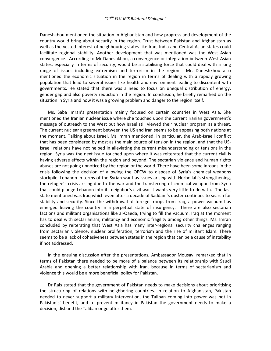Daneshkhou mentioned the situation in Afghanistan and how progress and development of the country would bring about security in the region. Trust between Pakistan and Afghanistan as well as the vested interest of neighbouring states like Iran, India and Central Asian states could facilitate regional stability. Another development that was mentioned was the West Asian convergence. According to Mr Daneshkhou, a convergence or integration between West Asian states, especially in terms of security, would be a stabilising force that could deal with a long range of issues including extremism and terrorism in the region. Mr. Daneshkhou also mentioned the economic situation in the region in terms of dealing with a rapidly growing population that lead to several issues like health and environment leading to discontent with governments. He stated that there was a need to focus on unequal distribution of energy, gender gap and also poverty reduction in the region. In conclusion, he briefly remarked on the situation in Syria and how it was a growing problem and danger to the region itself.

Ms. Saba Imran's presentation mainly focused on certain countries in West Asia. She mentioned the Iranian nuclear issue where she touched upon the current Iranian government's message of outreach to the West but how Israel still viewed their nuclear program as a threat. The current nuclear agreement between the US and Iran seems to be appeasing both nations at the moment. Talking about Israel, Ms Imran mentioned, in particular, the Arab-Israeli conflict that has been considered by most as the main source of tension in the region, and that the US-Israeli relations have not helped in alleviating the current misunderstanding or tensions in the region. Syria was the next issue touched upon where it was reiterated that the current civil is having adverse effects within the region and beyond. The sectarian violence and human rights abuses are not going unnoticed by the region or the world. There have been some inroads in the crisis following the decision of allowing the OPCW to dispose of Syria's chemical weapons stockpile. Lebanon in terms of the Syrian war has issues arising with Hezbollah's strengthening, the refugee's crisis arising due to the war and the transferring of chemical weapon from Syria that could plunge Lebanon into its neighbor's civil war it wants very little to do with. The last state mentioned was Iraq which even after a decade of Saddam's ouster continues to search for stability and security. Since the withdrawal of foreign troops from Iraq, a power vacuum has emerged leaving the country in a perpetual state of insurgency. There are also sectarian factions and militant organisations like al-Qaeda, trying to fill the vacuum. Iraq at the moment has to deal with sectarianism, militancy and economic fragility among other things. Ms. Imran concluded by reiterating that West Asia has many inter-regional security challenges ranging from sectarian violence, nuclear proliferation, terrorism and the rise of militant Islam. There seems to be a lack of cohesiveness between states in the region that can be a cause of instability if not addressed.

In the ensuing discussion after the presentations, Ambassador Mousavi remarked that in terms of Pakistan there needed to be more of a balance between its relationship with Saudi Arabia and opening a better relationship with Iran, because in terms of sectarianism and violence this would be a more beneficial policy for Pakistan.

Dr Rais stated that the government of Pakistan needs to make decisions about prioritising the structuring of relations with neighboring countries. In relation to Afghanistan, Pakistan needed to never support a military intervention, the Taliban coming into power was not in Pakistan's' benefit, and to prevent militancy in Pakistan the government needs to make a decision, disband the Taliban or go after them.